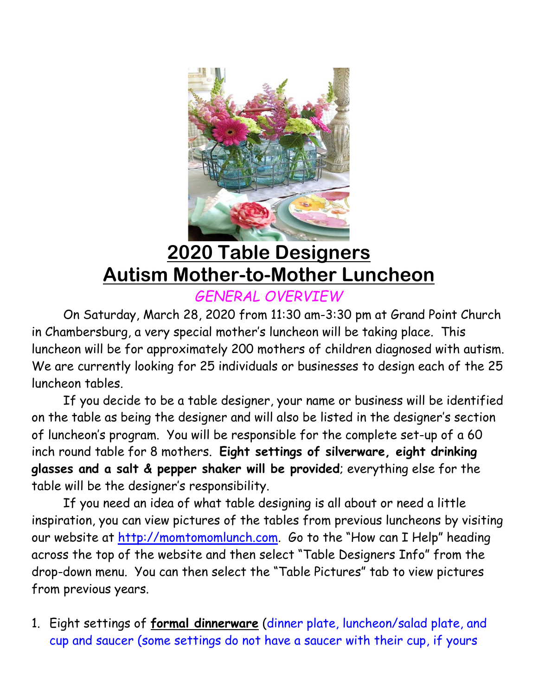

## **2020 Table Designers Autism Mother-to-Mother Luncheon**

*GENERAL OVERVIEW*

On Saturday, March 28, 2020 from 11:30 am-3:30 pm at Grand Point Church in Chambersburg, a very special mother's luncheon will be taking place. This luncheon will be for approximately 200 mothers of children diagnosed with autism. We are currently looking for 25 individuals or businesses to design each of the 25 luncheon tables.

 If you decide to be a table designer, your name or business will be identified on the table as being the designer and will also be listed in the designer's section of luncheon's program. You will be responsible for the complete set-up of a 60 inch round table for 8 mothers. **Eight settings of silverware, eight drinking glasses and a salt & pepper shaker will be provided**; everything else for the table will be the designer's responsibility.

 If you need an idea of what table designing is all about or need a little inspiration, you can view pictures of the tables from previous luncheons by visiting our website at [http://momtomomlunch.com.](http://momtomomlunch.com/) Go to the "How can I Help" heading across the top of the website and then select "Table Designers Info" from the drop-down menu. You can then select the "Table Pictures" tab to view pictures from previous years.

1. Eight settings of **formal dinnerware** (dinner plate, luncheon/salad plate, and cup and saucer (some settings do not have a saucer with their cup, if yours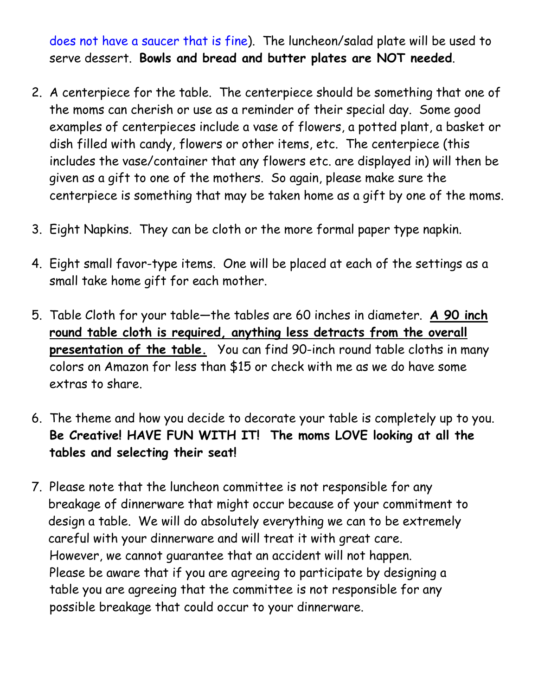does not have a saucer that is fine). The luncheon/salad plate will be used to serve dessert. **Bowls and bread and butter plates are NOT needed**.

- 2. A centerpiece for the table. The centerpiece should be something that one of the moms can cherish or use as a reminder of their special day. Some good examples of centerpieces include a vase of flowers, a potted plant, a basket or dish filled with candy, flowers or other items, etc. The centerpiece (this includes the vase/container that any flowers etc. are displayed in) will then be given as a gift to one of the mothers. So again, please make sure the centerpiece is something that may be taken home as a gift by one of the moms.
- 3. Eight Napkins. They can be cloth or the more formal paper type napkin.
- 4. Eight small favor-type items. One will be placed at each of the settings as a small take home gift for each mother.
- 5. Table Cloth for your table—the tables are 60 inches in diameter. **A 90 inch round table cloth is required, anything less detracts from the overall presentation of the table.** You can find 90-inch round table cloths in many colors on Amazon for less than \$15 or check with me as we do have some extras to share.
- 6. The theme and how you decide to decorate your table is completely up to you. **Be Creative! HAVE FUN WITH IT! The moms LOVE looking at all the tables and selecting their seat!**
- 7. Please note that the luncheon committee is not responsible for any breakage of dinnerware that might occur because of your commitment to design a table. We will do absolutely everything we can to be extremely careful with your dinnerware and will treat it with great care. However, we cannot guarantee that an accident will not happen. Please be aware that if you are agreeing to participate by designing a table you are agreeing that the committee is not responsible for any possible breakage that could occur to your dinnerware.